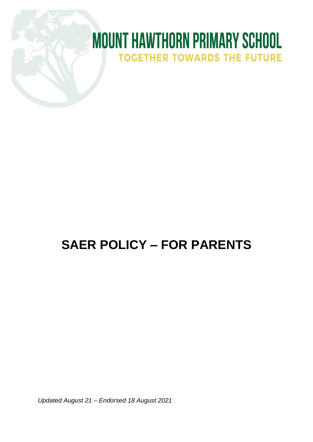# **MOUNT HAWTHORN PRIMARY SCHOOL TOGETHER TOWARDS THE FUTURE**

## **SAER POLICY – FOR PARENTS**

*Updated August 21 – Endorsed 18 August 2021*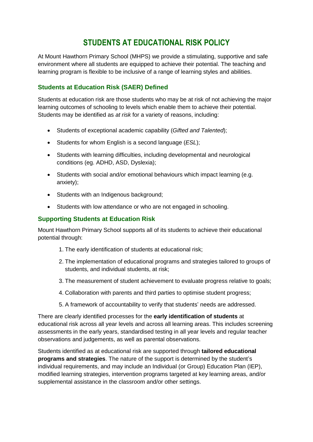### **STUDENTS AT EDUCATIONAL RISK POLICY**

At Mount Hawthorn Primary School (MHPS) we provide a stimulating, supportive and safe environment where all students are equipped to achieve their potential. The teaching and learning program is flexible to be inclusive of a range of learning styles and abilities.

#### **Students at Education Risk (SAER) Defined**

Students at education risk are those students who may be at risk of not achieving the major learning outcomes of schooling to levels which enable them to achieve their potential. Students may be identified as *at risk* for a variety of reasons, including:

- Students of exceptional academic capability (*Gifted and Talented*);
- Students for whom English is a second language (*ESL*);
- Students with learning difficulties, including developmental and neurological conditions (eg. ADHD, ASD, Dyslexia);
- Students with social and/or emotional behaviours which impact learning (e.g. anxiety);
- Students with an Indigenous background;
- Students with low attendance or who are not engaged in schooling.

#### **Supporting Students at Education Risk**

Mount Hawthorn Primary School supports all of its students to achieve their educational potential through:

- 1. The early identification of students at educational risk;
- 2. The implementation of educational programs and strategies tailored to groups of students, and individual students, at risk;
- 3. The measurement of student achievement to evaluate progress relative to goals;
- 4. Collaboration with parents and third parties to optimise student progress;
- 5. A framework of accountability to verify that students' needs are addressed.

There are clearly identified processes for the **early identification of students** at educational risk across all year levels and across all learning areas. This includes screening assessments in the early years, standardised testing in all year levels and regular teacher observations and judgements, as well as parental observations.

Students identified as at educational risk are supported through **tailored educational programs and strategies**. The nature of the support is determined by the student's individual requirements, and may include an Individual (or Group) Education Plan (IEP), modified learning strategies, intervention programs targeted at key learning areas, and/or supplemental assistance in the classroom and/or other settings.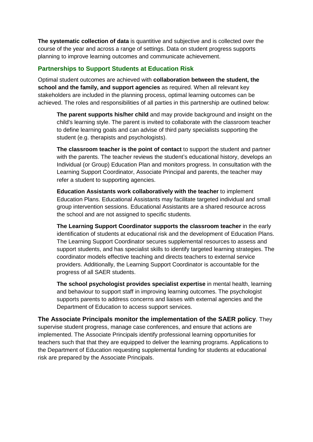**The systematic collection of data** is quantitive and subjective and is collected over the course of the year and across a range of settings. Data on student progress supports planning to improve learning outcomes and communicate achievement.

#### **Partnerships to Support Students at Education Risk**

Optimal student outcomes are achieved with **collaboration between the student, the school and the family, and support agencies** as required. When all relevant key stakeholders are included in the planning process, optimal learning outcomes can be achieved. The roles and responsibilities of all parties in this partnership are outlined below:

**The parent supports his/her child** and may provide background and insight on the child's learning style. The parent is invited to collaborate with the classroom teacher to define learning goals and can advise of third party specialists supporting the student (e.g. therapists and psychologists).

**The classroom teacher is the point of contact** to support the student and partner with the parents. The teacher reviews the student's educational history, develops an Individual (or Group) Education Plan and monitors progress. In consultation with the Learning Support Coordinator, Associate Principal and parents, the teacher may refer a student to supporting agencies.

**Education Assistants work collaboratively with the teacher** to implement Education Plans. Educational Assistants may facilitate targeted individual and small group intervention sessions. Educational Assistants are a shared resource across the school and are not assigned to specific students.

**The Learning Support Coordinator supports the classroom teacher** in the early identification of students at educational risk and the development of Education Plans. The Learning Support Coordinator secures supplemental resources to assess and support students, and has specialist skills to identify targeted learning strategies. The coordinator models effective teaching and directs teachers to external service providers. Additionally, the Learning Support Coordinator is accountable for the progress of all SAER students.

**The school psychologist provides specialist expertise** in mental health, learning and behaviour to support staff in improving learning outcomes. The psychologist supports parents to address concerns and liaises with external agencies and the Department of Education to access support services.

**The Associate Principals monitor the implementation of the SAER policy**. They supervise student progress, manage case conferences, and ensure that actions are implemented. The Associate Principals identify professional learning opportunities for teachers such that that they are equipped to deliver the learning programs. Applications to the Department of Education requesting supplemental funding for students at educational risk are prepared by the Associate Principals.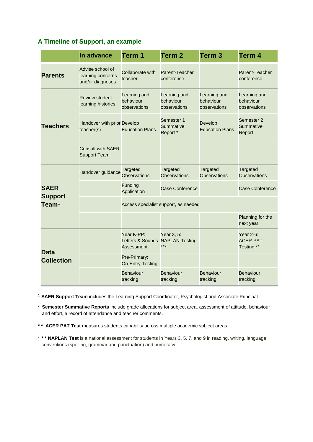#### **A Timeline of Support, an example**

|                                                  | In advance                                                | Term 1                                                      | Term <sub>2</sub>                          | Term <sub>3</sub>                         | Term <sub>4</sub>                                   |
|--------------------------------------------------|-----------------------------------------------------------|-------------------------------------------------------------|--------------------------------------------|-------------------------------------------|-----------------------------------------------------|
| <b>Parents</b>                                   | Advise school of<br>learning concerns<br>and/or diagnoses | Collaborate with<br>teacher                                 | Parent-Teacher<br>conference               |                                           | Parent-Teacher<br>conference                        |
| <b>Teachers</b>                                  | <b>Review student</b><br>learning histories               | Learning and<br>behaviour<br>observations                   | Learning and<br>behaviour<br>observations  | Learning and<br>behaviour<br>observations | Learning and<br>behaviour<br>observations           |
|                                                  | Handover with prior Develop<br>teacher(s)                 | <b>Education Plans</b>                                      | Semester 1<br><b>Summative</b><br>Report * | Develop<br><b>Education Plans</b>         | Semester <sub>2</sub><br><b>Summative</b><br>Report |
|                                                  | <b>Consult with SAER</b><br><b>Support Team</b>           |                                                             |                                            |                                           |                                                     |
| <b>SAER</b><br><b>Support</b><br>$\text{Team}^1$ | Handover guidance                                         | <b>Targeted</b><br><b>Observations</b>                      | <b>Targeted</b><br><b>Observations</b>     | Targeted<br><b>Observations</b>           | <b>Targeted</b><br><b>Observations</b>              |
|                                                  |                                                           | Funding<br>Application                                      | Case Conference                            |                                           | Case Conference                                     |
|                                                  |                                                           | Access specialist support, as needed                        |                                            |                                           |                                                     |
|                                                  |                                                           |                                                             |                                            |                                           | Planning for the<br>next year                       |
| <b>Data</b><br><b>Collection</b>                 |                                                           | Year K-PP:<br>Letters & Sounds NAPLAN Testing<br>Assessment | Year 3, 5:<br>***                          |                                           | Year 2-6:<br><b>ACER PAT</b><br>Testing **          |
|                                                  |                                                           | Pre-Primary:<br><b>On-Entry Testing</b>                     |                                            |                                           |                                                     |
|                                                  |                                                           | <b>Behaviour</b><br>tracking                                | <b>Behaviour</b><br>tracking               | <b>Behaviour</b><br>tracking              | <b>Behaviour</b><br>tracking                        |

<sup>1</sup>**SAER Support Team** includes the Learning Support Coordinator, Psychologist and Associate Principal.

\* **Semester Summative Reports** include grade allocations for subject area, assessment of attitude, behaviour and effort, a record of attendance and teacher comments.

**\* \* ACER PAT Test** measures students capability across multiple academic subject areas.

\* **\* \* NAPLAN Test** is a national assessment for students in Years 3, 5, 7, and 9 in reading, writing, language conventions (spelling, grammar and punctuation) and numeracy.